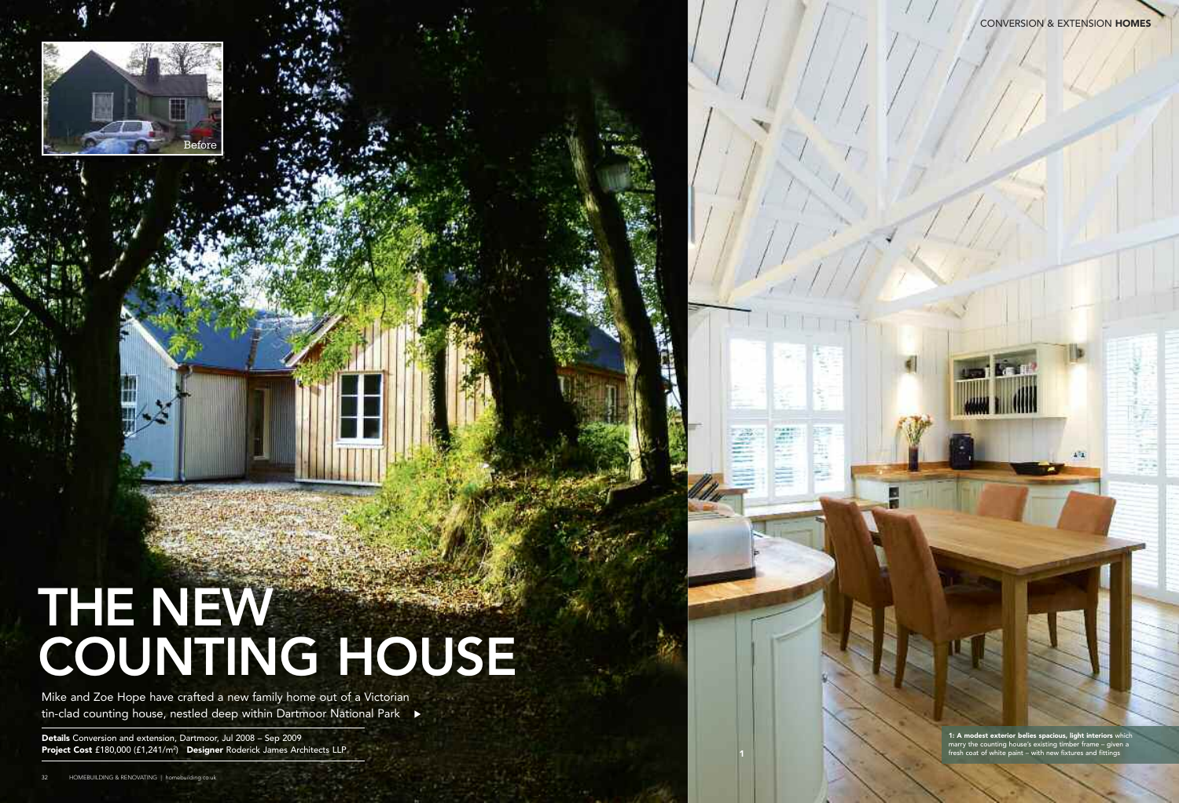# **THE NEW COUNTING HOUSE**

Mike and Zoe Hope have crafted a new family home out of a Victorian tin-clad counting house, nestled deep within Dartmoor National Park →

Before

**1: A modest exterior belies spacious, light interiors** which marry the counting house's existing timber frame – given a fresh coat of white paint – with new fixtures and fittings

**Details** Conversion and extension, Dartmoor, Jul 2008 – Sep 2009 **Project Cost** £180,000 (£1,241/m2 ) **Designer** Roderick James Architects LLP CONVERSION & EXTENSION **HOMES**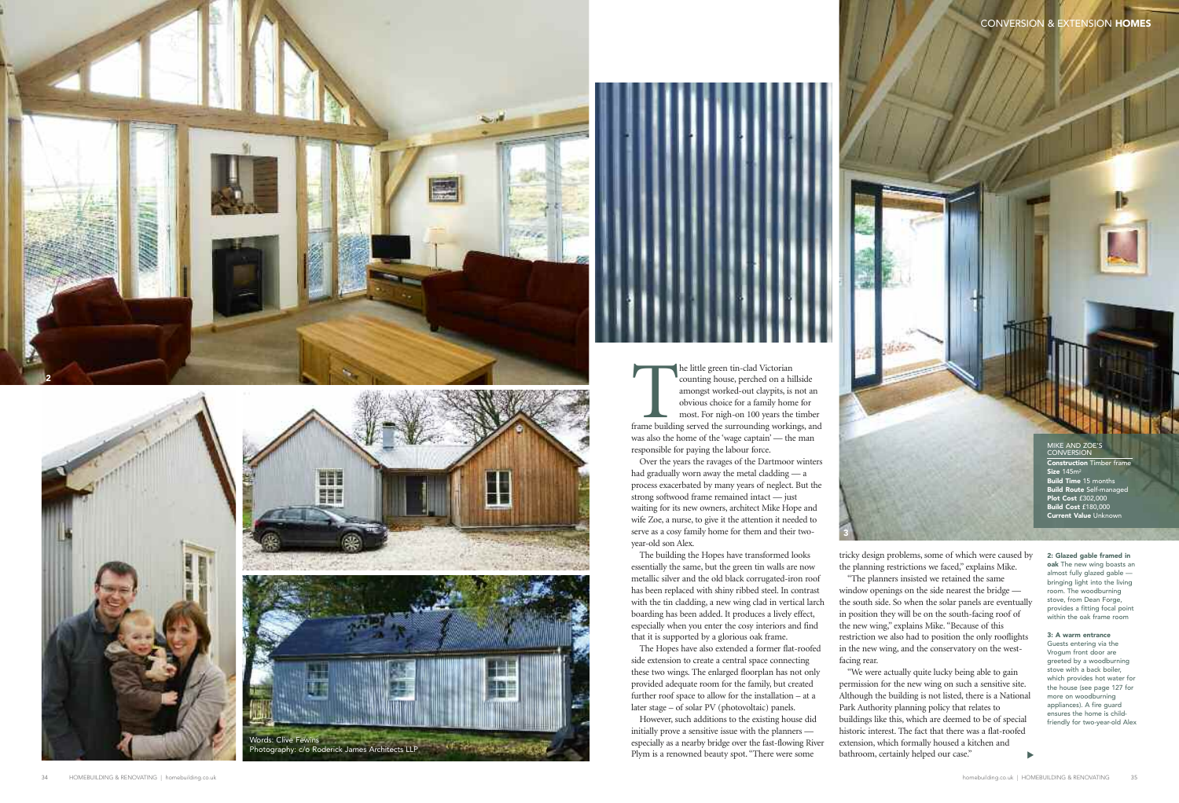The little green tin-clad Victorian<br>
counting house, perched on a hillside<br>
amongst worked-out claypits, is not an<br>
obvious choice for a family home for<br>
most. For nigh-on 100 years the timber<br>
frame building served the su counting house, perched on a hillside amongst worked-out claypits, is not an obvious choice for a family home for most. For nigh-on 100 years the timber was also the home of the 'wage captain' — the man responsible for paying the labour force.

Over the years the ravages of the Dartmoor winters had gradually worn away the metal cladding — a process exacerbated by many years of neglect. But the strong softwood frame remained intact — just waiting for its new owners, architect Mike Hope and wife Zoe, a nurse, to give it the attention it needed to serve as a cosy family home for them and their twoyear-old son Alex.

The building the Hopes have transformed looks essentially the same, but the green tin walls are now metallic silver and the old black corrugated-iron roof has been replaced with shiny ribbed steel. In contrast with the tin cladding, a new wing clad in vertical larch boarding has been added. It produces a lively effect, especially when you enter the cosy interiors and find that it is supported by a glorious oak frame.

**oak** The new wing boasts an almost fully glazed gable bringing light into the living room. The woodburning stove, from Dean Forge, provides a fitting focal point .<br>within the oak frame room

The Hopes have also extended a former flat-roofed side extension to create a central space connecting these two wings. The enlarged floorplan has not only provided adequate room for the family, but created further roof space to allow for the installation – at a later stage – of solar PV (photovoltaic) panels.

However, such additions to the existing house did initially prove a sensitive issue with the planners especially as a nearby bridge over the fast-flowing River Plym is a renowned beauty spot. "There were some

tricky design problems, some of which were caused by the planning restrictions we faced," explains Mike. "The planners insisted we retained the same window openings on the side nearest the bridge the south side. So when the solar panels are eventually in position they will be on the south-facing roof of the new wing," explains Mike. "Because of this restriction we also had to position the only rooflights in the new wing, and the conservatory on the west-

facing rear.

#### **2: Glazed gable framed in**

"We were actually quite lucky being able to gain permission for the new wing on such a sensitive site. Although the building is not listed, there is a National Park Authority planning policy that relates to buildings like this, which are deemed to be of special historic interest. The fact that there was a flat-roofed extension, which formally housed a kitchen and bathroom, certainly helped our case." ▼

#### **3: A warm entrance**

Guests entering via the Vrogum front door are greeted by a woodburning stove with a back boiler, which provides hot water for the house (see page 127 for more on woodburning appliances). A fire guard ensures the home is childfriendly for two-year-old Alex





**3**



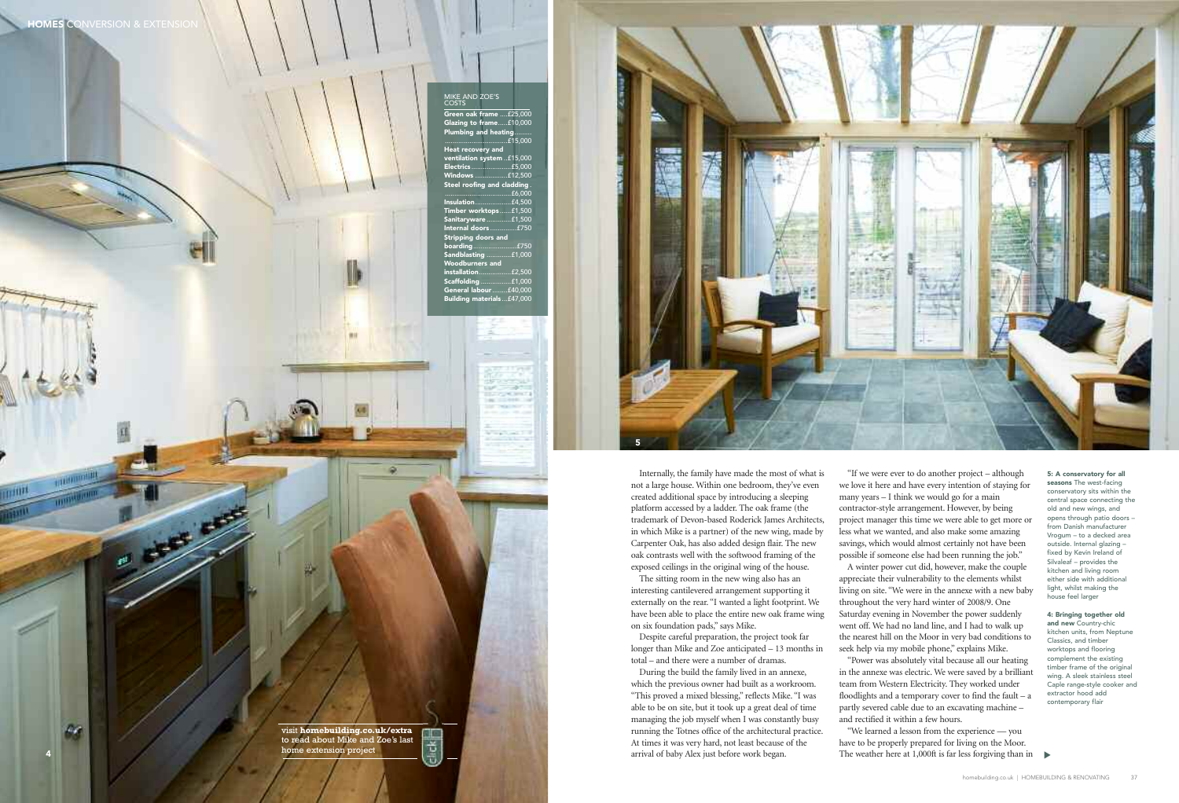in which Mike is a partner) of the new wing, made by Carpenter Oak, has also added design flair. The new oak contrasts well with the softwood framing of the exposed ceilings in the original wing of the house.

The sitting room in the new wing also has an interesting cantilevered arrangement supporting it externally on the rear. "I wanted a light footprint. We have been able to place the entire new oak frame wing on six foundation pads," says Mike.

Despite careful preparation, the project took far longer than Mike and Zoe anticipated – 13 months in total – and there were a number of dramas.

During the build the family lived in an annexe, which the previous owner had built as a workroom. "This proved a mixed blessing," reflects Mike. "I was able to be on site, but it took up a great deal of time managing the job myself when I was constantly busy running the Totnes office of the architectural practice. At times it was very hard, not least because of the arrival of baby Alex just before work began.

"We learned a lesson from the experience — you have to be properly prepared for living on the Moor. The weather here at 1,000ft is far less forgiving than in  $\blacktriangleright$ 

Internally, the family have made the most of what is not a large house. Within one bedroom, they've even created additional space by introducing a sleeping platform accessed by a ladder. The oak frame (the trademark of Devon-based Roderick James Architects, **5**

"If we were ever to do another project – although we love it here and have every intention of staying for many years – I think we would go for a main contractor-style arrangement. However, by being project manager this time we were able to get more or less what we wanted, and also make some amazing savings, which would almost certainly not have been possible if someone else had been running the job." A winter power cut did, however, make the couple appreciate their vulnerability to the elements whilst living on site. "We were in the annexe with a new baby throughout the very hard winter of 2008/9. One Saturday evening in November the power suddenly went off. We had no land line, and I had to walk up the nearest hill on the Moor in very bad conditions to seek help via my mobile phone," explains Mike. "Power was absolutely vital because all our heating in the annexe was electric. We were saved by a brilliant team from Western Electricity. They worked under floodlights and a temporary cover to find the fault – a partly severed cable due to an excavating machine – and rectified it within a few hours.

#### **5: A conservatory for all seasons** The west-facing conservatory sits within the central space connecting the old and new wings, and opens through patio doors – from Danish manufacturer Vrogum – to a decked area outside. Internal glazing – fixed by Kevin Ireland of Silvaleaf – provides the kitchen and living room either side with additional light, whilst making the house feel larger

#### **4: Bringing together old**

**and new** Country-chic kitchen units, from Neptune Classics, and timber worktops and flooring complement the existing timber frame of the original wing. A sleek stainless steel Caple range-style cooker and extractor hood add contemporary flair

**4**

 $\mathcal{L}$ 

visit **homebuilding.co.uk/extra** 图画 to read about Mike and Zoe's last Ť. home extension project



## MIKE AND ZOE'S COSTS **Green oak frame** ....£25,000 **Glazing to frame**.....£10,000 **Plumbing and heating**.........  $.15,000$ **Heat recovery and system** ..£15,000 **Electrics** .....................£5,000 **Windows** .................£12,500 **Steel roofing and cladding** . **.dding**<br>..£6,000 **Insulation**...................£4,500 **Timber worktops** ......£1,500 **Sanitaryware** .............£1,500 **Internal doors** ..............£750 **Stripping doors and boarding**.......................£750 **Sandblasting** .............£1,000 **Woodburners and** ..£2,500<br>..£1,000 **Scaffolding** ................£1,000 **General labour** ........£40,000 **Building materials**...£47,000